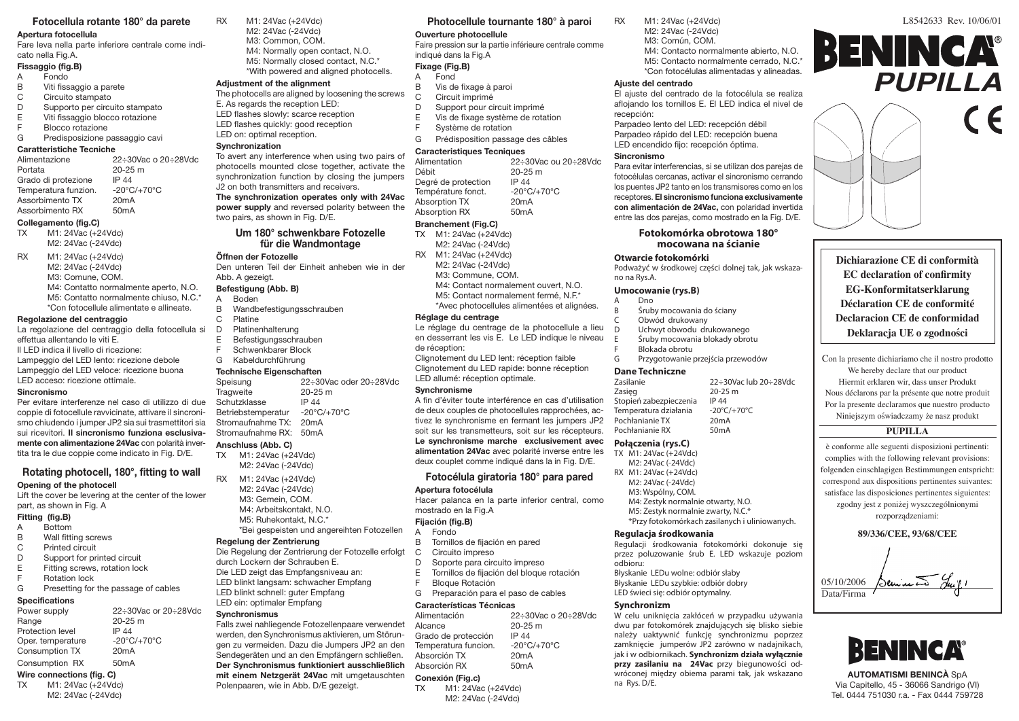# **Fotocellula rotante 180° da parete**

# **Apertura fotocellula**

Fare leva nella parte inferiore centrale come indicato nella Fig.A.

# **Fissaggio (fig.B)**

- A Fondo<br>B Viti fiss
- 
- B Viti fissaggio a parete<br>C Circuito stampato
- C Circuito stampato<br>D Supporto per circu
- D Supporto per circuito stampato<br>E Viti fissaggio blocco rotazione E Viti fissaggio blocco rotazione<br>E Blocco rotazione
- F Blocco rotazione<br>G Predisposizione r

# Predisposizione passaggio cavi

# **Caratteristiche Tecniche**

| Alimentazione        | 22÷30Vac o 20÷28Vdc              |
|----------------------|----------------------------------|
| Portata              | 20-25 m                          |
| Grado di protezione  | IP 44                            |
| Temperatura funzion. | $-20^{\circ}$ C/ $+70^{\circ}$ C |
| Assorbimento TX      | 20mA                             |
| Assorbimento RX      | 50 <sub>m</sub> A                |
|                      |                                  |

# **Collegamento (fig.C)**

M1: 24Vac (+24Vdc) M2: 24Vac (-24Vdc)

RX M1: 24Vac (+24Vdc) M2: 24Vac (-24Vdc) M3: Comune, COM. M4: Contatto normalmente aperto, N.O. M5: Contatto normalmente chiuso, N.C.\* \*Con fotocellule alimentate e allineate.

#### **Regolazione del centraggio**

La regolazione del centraggio della fotocellula si effettua allentando le viti E. Il LED indica il livello di ricezione: Lampeggio del LED lento: ricezione debole Lampeggio del LED veloce: ricezione buona LED acceso: ricezione ottimale.

### **Sincronismo**

Per evitare interferenze nel caso di utilizzo di due coppie di fotocellule ravvicinate, attivare il sincronismo chiudendo i jumper JP2 sia sui trasmettitori sia sui ricevitori. **Il sincronismo funziona esclusivamente con alimentazione 24Vac** con polarità invertita tra le due coppie come indicato in Fig. D/E.

# **Rotating photocell, 180°, fitting to wall Opening of the photocell**

Lift the cover be levering at the center of the lower part, as shown in Fig. A

# **Fitting (fig.B)**

- A Bottom
- B Wall fitting screws
- C Printed circuit
- D Support for printed circuit<br>E Fitting screws, rotation loc
- E Fitting screws, rotation lock<br>F Rotation lock
- **Rotation lock**
- G Presetting for the passage of cables

# **Specifications**

| Power supply      | 22÷30Vac or 20÷28Vdc             |
|-------------------|----------------------------------|
| Range             | 20-25 m                          |
| Protection level  | IP 44                            |
| Oper. temperature | $-20^{\circ}$ C/ $+70^{\circ}$ C |
| Consumption TX    | 20 <sub>m</sub> A                |
| Consumption RX    | 50 <sub>m</sub> A                |

# **Wire connections (fig. C)**

TX M1: 24Vac (+24Vdc) M2: 24Vac (-24Vdc)

- RX M1: 24Vac (+24Vdc) M2: 24Vac (-24Vdc) M3: Common, COM. M4: Normally open contact, N.O.
	- M5: Normally closed contact, N.C.\* \*With powered and aligned photocells.

# **Adjustment of the alignment**

- The photocells are aligned by loosening the screws E. As regards the reception LED: LED flashes slowly: scarce reception LED flashes quickly: good reception
- LED on: optimal reception.

### **Synchronization**

To avert any interference when using two pairs of photocells mounted close together, activate the synchronization function by closing the jumpers J2 on both transmitters and receivers. **The synchronization operates only with 24Vac power supply** and reversed polarity between the two pairs, as shown in Fig. D/E.

> **Um 180° schwenkbare Fotozelle für die Wandmontage**

#### **Öffnen der Fotozelle**

Den unteren Teil der Einheit anheben wie in der Abb. A gezeigt.

# **Befestigung (Abb. B)**

- A Boden<br>B Wandb
- B Wandbefestigungsschrauben<br>C Platine
- C Platine<br>D Platiner Platinenhalterung
- E Befestigungsschrauben
- F Schwenkbarer Block
- G Kabeldurchführung

**Technische Eigenschaften**<br>Speisung 22÷30 22≐30Vac oder 20≐28Vdc Tragweite 20-25 m<br>Schutzklasse IP 44 Schutzklasse IP 44<br>Betriebstemperatur -20°C/+70°C Betriebstemperatur -20°C<br>Stromaufnahme TX: 20mA Stromaufnahme TX: 20mA<br>Stromaufnahme RX: 50mA Stromaufnahme RX:

#### **Anschluss (Abb. C)**

- TX M1: 24Vac (+24Vdc) M2: 24Vac (-24Vdc)
- RX M1: 24Vac (+24Vdc) M2: 24Vac (-24Vdc) M3: Gemein, COM. M4: Arbeitskontakt, N.O. M5: Ruhekontakt, N.C.\* \*Bei gespeisten und angereihten Fotozellen

# **Regelung der Zentrierung**

Die Regelung der Zentrierung der Fotozelle erfolgt durch Lockern der Schrauben E. Die LED zeigt das Empfangsniveau an: LED blinkt langsam: schwacher Empfang LED blinkt schnell: guter Empfang LED ein: optimaler Empfang

#### **Synchronismus**

Falls zwei nahliegende Fotozellenpaare verwendet werden, den Synchronismus aktivieren, um Störungen zu vermeiden. Dazu die Jumpers JP2 an den Sendegeräten und an den Empfängern schließen. **Der Synchronismus funktioniert ausschließlich mit einem Netzgerät 24Vac** mit umgetauschten Polenpaaren, wie in Abb. D/E gezeigt.

# **Photocellule tournante 180° à paroi Ouverture photocellule**

# Faire pression sur la partie inférieure centrale comme indiqué dans la Fig.A

# **Fixage (Fig.B)**

- A Fond<br>B Vis de
- B Vis de fixage à paroi<br>C Circuit imprimé
- C Circuit imprimé<br>D Support pour c
- D Support pour circuit imprimé<br>E Vis de fixage système de rota
- E Vis de fixage système de rotation<br>E Système de rotation Système de rotation
- G Prédisposition passage des câbles

# **Caracteristiques Tecniques** Alimentation 22÷30Vac ou 20÷28Vdc

20-25 m<br>IP 44 Degré de protection IP 44<br>Température fonct. 420°C/+70°C Température fonct. -20°C.<br>Absorption TX 20mA Absorption TX 20mA<br>Absorption RX 50mA Absorption RX

### **Branchement (Fig.C)**

- TX M1: 24Vac (+24Vdc) M2: 24Vac (-24Vdc)
- RX M1: 24Vac (+24Vdc)
- M2: 24Vac (-24Vdc)
- M3: Commune, COM.
- M4: Contact normalement ouvert, N.O.
- M5: Contact normalement fermé, N.F.\*
- \*Avec photocellules alimentées et alignées.

#### **Réglage du centrage**

Le réglage du centrage de la photocellule a lieu en desserrant les vis E. Le LED indique le niveau de réception: Clignotement du LED lent: réception faible

Clignotement du LED rapide: bonne réception LED allumé: réception optimale.

# **Synchronisme**

A fin d'éviter toute interférence en cas d'utilisation de deux couples de photocellules rapprochées, activez le synchronisme en fermant les jumpers JP2 soit sur les transmetteurs, soit sur les récepteurs. **Le synchronisme marche exclusivement avec alimentation 24Vac** avec polarité inverse entre les deux couplet comme indiqué dans la in Fig. D/E. TX M1: 24Vac (+24Vdc)

# **Fotocélula giratoria 180° para pared**

# **Apertura fotocélula**

Hacer palanca en la parte inferior central, como mostrado en la Fig.A

#### **Fijación (fig.B)**

- A Fondo
- B Tornillos de fijación en pared
- C Circuito impreso<br>D Soporte para circ
- Soporte para circuito impreso
- E Tornillos de fijación del bloque rotación
- F Bloque Rotación
- G Preparación para el paso de cables

# **Características Técnicas**

M2: 24Vac (-24Vdc)

| Alimentación                | 22 ÷ 30 Vac o 20 ÷ 28 Vdc        |
|-----------------------------|----------------------------------|
| Alcance                     | $20 - 25$ m                      |
| Grado de protección         | IP 44                            |
| Temperatura funcion.        | $-20^{\circ}$ C/+70 $^{\circ}$ C |
| Absorción TX                | 20 <sub>m</sub> A                |
| Absorción RX                | 50 <sub>m</sub> A                |
| Conexión (Fig.c)            |                                  |
| M1: 24Vac (+24Vdc)<br>TX TX |                                  |

RX M1: 24Vac (+24Vdc) M2: 24Vac (-24Vdc) M3: Común, COM. M4: Contacto normalmente abierto, N.O. M5: Contacto normalmente cerrado, N.C.\* \*Con fotocélulas alimentadas y alineadas.

aflojando los tornillos E. El LED indica el nivel de

Para evitar interferencias, si se utilizan dos parejas de fotocélulas cercanas, activar el sincronismo cerrando los puentes JP2 tanto en los transmisores como en los receptores. **El sincronismo funciona exclusivamente con alimentación de 24Vac,** con polaridad invertida entre las dos parejas, como mostrado en la Fig. D/E. **Fotokomórka obrotowa 180° mocowana na ścianie** 

Podważyć w środkowej części dolnej tak, jak wskaza-

Przygotowanie przejścia przewodów

22÷30Vac lub 20÷28Vdc

Śruby mocowania do ściany

Zasięg 20-25 m<br>Stopień zabezpieczenia 1 IP 44 Stopień zabezpieczenia IP 44<br>Temperatura działania - 20°C/+70°C Temperatura działania -20°C/<br>Pochłanianie TX 20mA Pochłanianie TX 20mA<br>Pochłanianie RX 50mA

> M4: Zestyk normalnie otwarty, N.O. M5: Zestyk normalnie zwarty, N.C.\*

\*Przy fotokomórkach zasilanych i uliniowanych.

Regulacji środkowania fotokomórki dokonuje się przez poluzowanie śrub E. LED wskazuje poziom

W celu uniknięcia zakłóceń w przypadku używania dwu par fotokomórek znajdujących się blisko siebie należy uaktywnić funkcję synchronizmu poprzez zamknięcie jumperów JP2 zarówno w nadajnikach, jak i w odbiornikach. **Synchronizm działa wyłącznie przy zasilaniu na 24Vac** przy biegunowości odwróconej między obiema parami tak, jak wskazano

Parpadeo lento del LED: recepción débil Parpadeo rápido del LED: recepción buena LED encendido fijo: recepción óptima.

L8542633 Rev. 10/06/01

*������� �������� ���������*

*���� ��� ���������� ����* **Dichiarazione CE di conformità**

**PUPILLA**

BENINCA®

Con la presente dichiariamo che il nostro prodotto We hereby declare that our product Hiermit erklaren wir, dass unser Produkt Nous déclarons par la présente que notre produit Por la presente declaramos que nuestro producto Niniejszym oświadczamy że nasz produkt **PUPILLA** è conforme alle seguenti disposizioni pertinenti: complies with the following relevant provisions: folgenden einschlagigen Bestimmungen entspricht: correspond aux dispositions pertinentes suivantes: satisface las disposiciones pertinentes siguientes: zgodny jest z poniżej wyszczególnionymi rozporządzeniami: **89/336/CEE, 93/68/CEE**

**AUTOMATISMI BENINCÀ** SpA Via Capitello, 45 - 36066 Sandrigo (VI) Tel. 0444 751030 r.a. - Fax 0444 759728

**BENINCA®** 

Deminis Juil

**EC declaration of confirmity EG-Konformitatserklarung Déclaration CE de conformité Declaracion CE de conformidad Deklaracja UE o zgodności**

 05/10/2006 Data/Firma

#### **Ajuste del centrado** El ajuste del centrado de la fotocélula se realiza

recepción:

**Sincronismo**

no na Rys.A.

**Otwarcie fotokomórki**

**Umocowanie (rys.B)** Dno

C Obwód drukowany<br>D Uchwyt obwodu dri D Uchwyt obwodu drukowanego<br>E Sruhy mocowania blokady obro Śruby mocowania blokady obrotu

F Blokada obrotu<br>G Przygotowanie

**Dane Techniczne**

Pochłanianie RX **Połączenia (rys.C)**

odbioru:

**Synchronizm**

na Rys. D/E.

M2: 24Vac (-24Vdc) RX M1: 24Vac (+24Vdc) M2: 24Vac (-24Vdc) M3: Wspólny, COM.

**Regulacja środkowania**

Błyskanie LEDu wolne: odbiór słaby Błyskanie LEDu szybkie: odbiór dobry LED świeci się: odbiór optymalny.